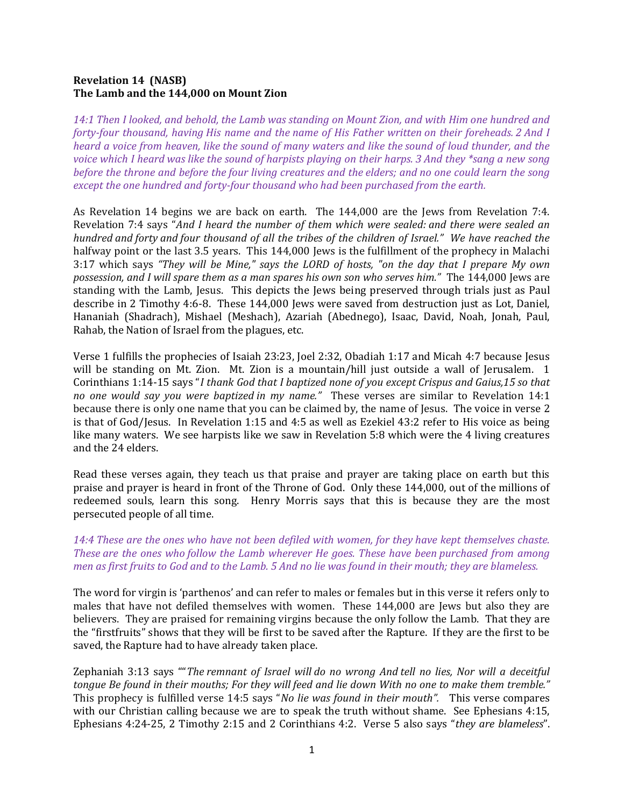# Revelation 14 (NASB) The Lamb and the 144,000 on Mount Zion

14:1 Then I looked, and behold, the Lamb was standing on Mount Zion, and with Him one hundred and forty-four thousand, having His name and the name of His Father written on their foreheads. 2 And I heard a voice from heaven, like the sound of many waters and like the sound of loud thunder, and the voice which I heard was like the sound of harpists playing on their harps. 3 And they \*sang a new song before the throne and before the four living creatures and the elders; and no one could learn the song except the one hundred and forty-four thousand who had been purchased from the earth.

As Revelation 14 begins we are back on earth. The 144,000 are the Jews from Revelation 7:4. Revelation 7:4 says "And I heard the number of them which were sealed: and there were sealed an hundred and forty and four thousand of all the tribes of the children of Israel." We have reached the halfway point or the last 3.5 years. This 144,000 Jews is the fulfillment of the prophecy in Malachi 3:17 which says "They will be Mine," says the LORD of hosts, "on the day that I prepare My own possession, and I will spare them as a man spares his own son who serves him." The 144,000 Jews are standing with the Lamb, Jesus. This depicts the Jews being preserved through trials just as Paul describe in 2 Timothy 4:6-8. These 144,000 Jews were saved from destruction just as Lot, Daniel, Hananiah (Shadrach), Mishael (Meshach), Azariah (Abednego), Isaac, David, Noah, Jonah, Paul, Rahab, the Nation of Israel from the plagues, etc.

Verse 1 fulfills the prophecies of Isaiah 23:23, Joel 2:32, Obadiah 1:17 and Micah 4:7 because Jesus will be standing on Mt. Zion. Mt. Zion is a mountain/hill just outside a wall of Jerusalem. 1 Corinthians 1:14-15 says "I thank God that I baptized none of you except Crispus and Gaius,15 so that no one would say you were baptized in my name." These verses are similar to Revelation 14:1 because there is only one name that you can be claimed by, the name of Jesus. The voice in verse 2 is that of God/Jesus. In Revelation 1:15 and 4:5 as well as Ezekiel 43:2 refer to His voice as being like many waters. We see harpists like we saw in Revelation 5:8 which were the 4 living creatures and the 24 elders.

Read these verses again, they teach us that praise and prayer are taking place on earth but this praise and prayer is heard in front of the Throne of God. Only these 144,000, out of the millions of redeemed souls, learn this song. Henry Morris says that this is because they are the most persecuted people of all time.

# 14:4 These are the ones who have not been defiled with women, for they have kept themselves chaste. These are the ones who follow the Lamb wherever He goes. These have been purchased from among men as first fruits to God and to the Lamb. 5 And no lie was found in their mouth; they are blameless.

The word for virgin is 'parthenos' and can refer to males or females but in this verse it refers only to males that have not defiled themselves with women. These 144,000 are Jews but also they are believers. They are praised for remaining virgins because the only follow the Lamb. That they are the "firstfruits" shows that they will be first to be saved after the Rapture. If they are the first to be saved, the Rapture had to have already taken place.

Zephaniah 3:13 says ""The remnant of Israel will do no wrong And tell no lies, Nor will a deceitful tongue Be found in their mouths; For they will feed and lie down With no one to make them tremble." This prophecy is fulfilled verse 14:5 says "No lie was found in their mouth". This verse compares with our Christian calling because we are to speak the truth without shame. See Ephesians 4:15, Ephesians 4:24-25, 2 Timothy 2:15 and 2 Corinthians 4:2. Verse 5 also says "they are blameless".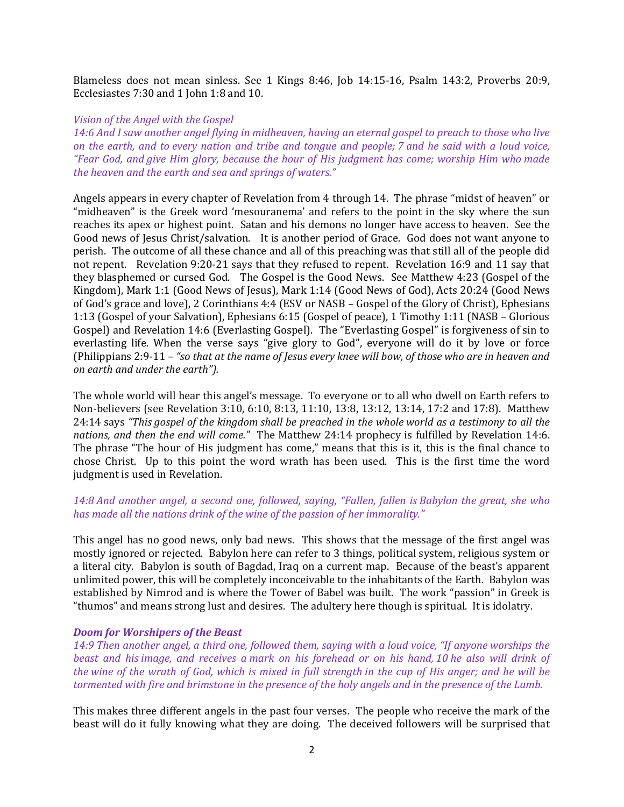Blameless does not mean sinless. See 1 Kings 8:46, Job 14:15-16, Psalm 143:2, Proverbs 20:9, Ecclesiastes 7:30 and 1 John 1:8 and 10.

### Vision of the Angel with the Gospel

14:6 And I saw another angel flying in midheaven, having an eternal gospel to preach to those who live on the earth, and to every nation and tribe and tongue and people; 7 and he said with a loud voice, "Fear God, and give Him glory, because the hour of His judgment has come; worship Him who made the heaven and the earth and sea and springs of waters."

Angels appears in every chapter of Revelation from 4 through 14. The phrase "midst of heaven" or "midheaven" is the Greek word 'mesouranema' and refers to the point in the sky where the sun reaches its apex or highest point. Satan and his demons no longer have access to heaven. See the Good news of Jesus Christ/salvation. It is another period of Grace. God does not want anyone to perish. The outcome of all these chance and all of this preaching was that still all of the people did not repent. Revelation 9:20-21 says that they refused to repent. Revelation 16:9 and 11 say that they blasphemed or cursed God. The Gospel is the Good News. See Matthew 4:23 (Gospel of the Kingdom), Mark 1:1 (Good News of Jesus), Mark 1:14 (Good News of God), Acts 20:24 (Good News of God's grace and love), 2 Corinthians 4:4 (ESV or NASB – Gospel of the Glory of Christ), Ephesians 1:13 (Gospel of your Salvation), Ephesians 6:15 (Gospel of peace), 1 Timothy 1:11 (NASB – Glorious Gospel) and Revelation 14:6 (Everlasting Gospel). The "Everlasting Gospel" is forgiveness of sin to everlasting life. When the verse says "give glory to God", everyone will do it by love or force (Philippians 2:9-11 – "so that at the name of Jesus every knee will bow, of those who are in heaven and on earth and under the earth").

The whole world will hear this angel's message. To everyone or to all who dwell on Earth refers to Non-believers (see Revelation 3:10, 6:10, 8:13, 11:10, 13:8, 13:12, 13:14, 17:2 and 17:8). Matthew 24:14 says "This gospel of the kingdom shall be preached in the whole world as a testimony to all the nations, and then the end will come." The Matthew 24:14 prophecy is fulfilled by Revelation 14:6. The phrase "The hour of His judgment has come," means that this is it, this is the final chance to chose Christ. Up to this point the word wrath has been used. This is the first time the word judgment is used in Revelation.

## 14:8 And another angel, a second one, followed, saying, "Fallen, fallen is Babylon the great, she who has made all the nations drink of the wine of the passion of her immorality."

This angel has no good news, only bad news. This shows that the message of the first angel was mostly ignored or rejected. Babylon here can refer to 3 things, political system, religious system or a literal city. Babylon is south of Bagdad, Iraq on a current map. Because of the beast's apparent unlimited power, this will be completely inconceivable to the inhabitants of the Earth. Babylon was established by Nimrod and is where the Tower of Babel was built. The work "passion" in Greek is "thumos" and means strong lust and desires. The adultery here though is spiritual. It is idolatry.

### Doom for Worshipers of the Beast

14:9 Then another angel, a third one, followed them, saying with a loud voice, "If anyone worships the beast and his image, and receives a mark on his forehead or on his hand, 10 he also will drink of the wine of the wrath of God, which is mixed in full strength in the cup of His anger; and he will be tormented with fire and brimstone in the presence of the holy angels and in the presence of the Lamb.

This makes three different angels in the past four verses. The people who receive the mark of the beast will do it fully knowing what they are doing. The deceived followers will be surprised that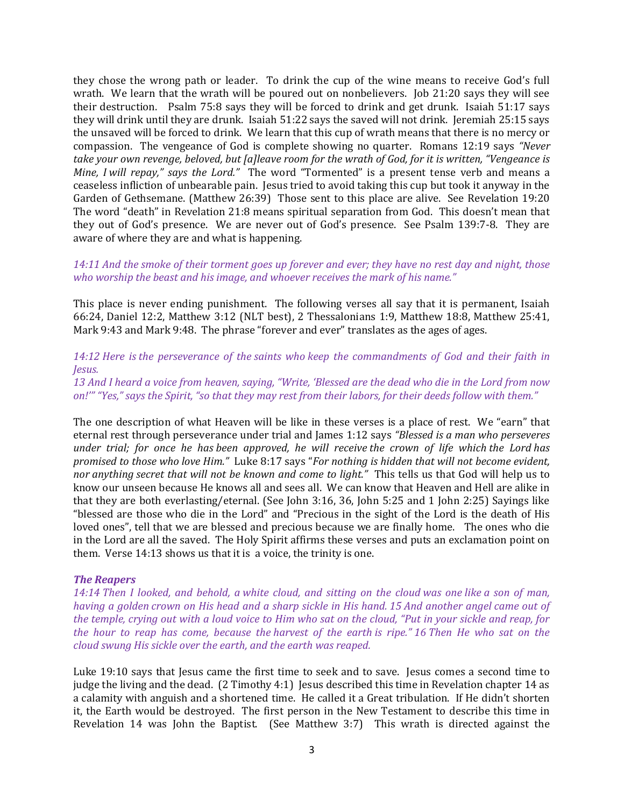they chose the wrong path or leader. To drink the cup of the wine means to receive God's full wrath. We learn that the wrath will be poured out on nonbelievers. Job 21:20 says they will see their destruction. Psalm 75:8 says they will be forced to drink and get drunk. Isaiah 51:17 says they will drink until they are drunk. Isaiah 51:22 says the saved will not drink. Jeremiah 25:15 says the unsaved will be forced to drink. We learn that this cup of wrath means that there is no mercy or compassion. The vengeance of God is complete showing no quarter. Romans 12:19 says "Never take your own revenge, beloved, but [a]leave room for the wrath of God, for it is written, "Vengeance is Mine, I will repay," says the Lord." The word "Tormented" is a present tense verb and means a ceaseless infliction of unbearable pain. Jesus tried to avoid taking this cup but took it anyway in the Garden of Gethsemane. (Matthew 26:39) Those sent to this place are alive. See Revelation 19:20 The word "death" in Revelation 21:8 means spiritual separation from God. This doesn't mean that they out of God's presence. We are never out of God's presence. See Psalm 139:7-8. They are aware of where they are and what is happening.

### 14:11 And the smoke of their torment goes up forever and ever; they have no rest day and night, those who worship the beast and his image, and whoever receives the mark of his name."

This place is never ending punishment. The following verses all say that it is permanent, Isaiah 66:24, Daniel 12:2, Matthew 3:12 (NLT best), 2 Thessalonians 1:9, Matthew 18:8, Matthew 25:41, Mark 9:43 and Mark 9:48. The phrase "forever and ever" translates as the ages of ages.

# 14:12 Here is the perseverance of the saints who keep the commandments of God and their faith in Jesus.

13 And I heard a voice from heaven, saying, "Write, 'Blessed are the dead who die in the Lord from now on!'" "Yes," says the Spirit, "so that they may rest from their labors, for their deeds follow with them."

The one description of what Heaven will be like in these verses is a place of rest. We "earn" that eternal rest through perseverance under trial and James 1:12 says "Blessed is a man who perseveres under trial; for once he has been approved, he will receive the crown of life which the Lord has promised to those who love Him." Luke 8:17 says "For nothing is hidden that will not become evident, nor anything secret that will not be known and come to light." This tells us that God will help us to know our unseen because He knows all and sees all. We can know that Heaven and Hell are alike in that they are both everlasting/eternal. (See John 3:16, 36, John 5:25 and 1 John 2:25) Sayings like "blessed are those who die in the Lord" and "Precious in the sight of the Lord is the death of His loved ones", tell that we are blessed and precious because we are finally home. The ones who die in the Lord are all the saved. The Holy Spirit affirms these verses and puts an exclamation point on them. Verse 14:13 shows us that it is a voice, the trinity is one.

### The Reapers

14:14 Then I looked, and behold, a white cloud, and sitting on the cloud was one like a son of man, having a golden crown on His head and a sharp sickle in His hand. 15 And another angel came out of the temple, crying out with a loud voice to Him who sat on the cloud, "Put in your sickle and reap, for the hour to reap has come, because the harvest of the earth is ripe." 16 Then He who sat on the cloud swung His sickle over the earth, and the earth was reaped.

Luke 19:10 says that Jesus came the first time to seek and to save. Jesus comes a second time to judge the living and the dead. (2 Timothy 4:1) Jesus described this time in Revelation chapter 14 as a calamity with anguish and a shortened time. He called it a Great tribulation. If He didn't shorten it, the Earth would be destroyed. The first person in the New Testament to describe this time in Revelation 14 was John the Baptist. (See Matthew 3:7) This wrath is directed against the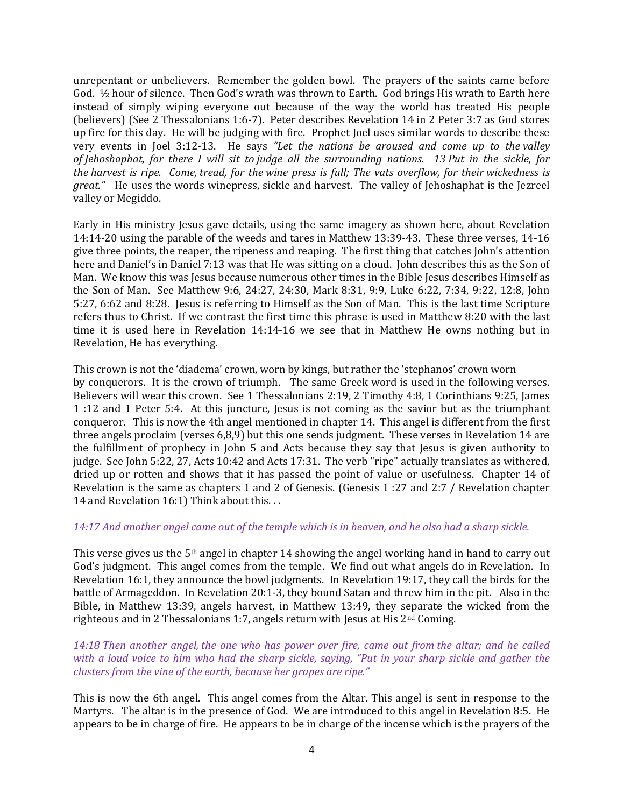unrepentant or unbelievers. Remember the golden bowl. The prayers of the saints came before God. ½ hour of silence. Then God's wrath was thrown to Earth. God brings His wrath to Earth here instead of simply wiping everyone out because of the way the world has treated His people (believers) (See 2 Thessalonians 1:6-7). Peter describes Revelation 14 in 2 Peter 3:7 as God stores up fire for this day. He will be judging with fire. Prophet Joel uses similar words to describe these very events in Joel 3:12-13. He says "Let the nations be aroused and come up to the valley of Jehoshaphat, for there I will sit to judge all the surrounding nations. 13 Put in the sickle, for the harvest is ripe. Come, tread, for the wine press is full; The vats overflow, for their wickedness is great." He uses the words winepress, sickle and harvest. The valley of Jehoshaphat is the Jezreel valley or Megiddo.

Early in His ministry Jesus gave details, using the same imagery as shown here, about Revelation 14:14-20 using the parable of the weeds and tares in Matthew 13:39-43. These three verses, 14-16 give three points, the reaper, the ripeness and reaping. The first thing that catches John's attention here and Daniel's in Daniel 7:13 was that He was sitting on a cloud. John describes this as the Son of Man. We know this was Jesus because numerous other times in the Bible Jesus describes Himself as the Son of Man. See Matthew 9:6, 24:27, 24:30, Mark 8:31, 9:9, Luke 6:22, 7:34, 9:22, 12:8, John 5:27, 6:62 and 8:28. Jesus is referring to Himself as the Son of Man. This is the last time Scripture refers thus to Christ. If we contrast the first time this phrase is used in Matthew 8:20 with the last time it is used here in Revelation 14:14-16 we see that in Matthew He owns nothing but in Revelation, He has everything.

This crown is not the 'diadema' crown, worn by kings, but rather the 'stephanos' crown worn by conquerors. It is the crown of triumph. The same Greek word is used in the following verses. Believers will wear this crown. See 1 Thessalonians 2:19, 2 Timothy 4:8, 1 Corinthians 9:25, James 1 :12 and 1 Peter 5:4. At this juncture, Jesus is not coming as the savior but as the triumphant conqueror. This is now the 4th angel mentioned in chapter 14. This angel is different from the first three angels proclaim (verses 6,8,9) but this one sends judgment. These verses in Revelation 14 are the fulfillment of prophecy in John 5 and Acts because they say that Jesus is given authority to judge. See John 5:22, 27, Acts 10:42 and Acts 17:31. The verb "ripe" actually translates as withered, dried up or rotten and shows that it has passed the point of value or usefulness. Chapter 14 of Revelation is the same as chapters 1 and 2 of Genesis. (Genesis 1 :27 and 2:7 / Revelation chapter 14 and Revelation 16:1) Think about this. . .

## 14:17 And another angel came out of the temple which is in heaven, and he also had a sharp sickle.

This verse gives us the 5th angel in chapter 14 showing the angel working hand in hand to carry out God's judgment. This angel comes from the temple. We find out what angels do in Revelation. In Revelation 16:1, they announce the bowl judgments. In Revelation 19:17, they call the birds for the battle of Armageddon. In Revelation 20:1-3, they bound Satan and threw him in the pit. Also in the Bible, in Matthew 13:39, angels harvest, in Matthew 13:49, they separate the wicked from the righteous and in 2 Thessalonians 1:7, angels return with Jesus at His 2nd Coming.

# 14:18 Then another angel, the one who has power over fire, came out from the altar; and he called with a loud voice to him who had the sharp sickle, saying, "Put in your sharp sickle and gather the clusters from the vine of the earth, because her grapes are ripe."

This is now the 6th angel. This angel comes from the Altar. This angel is sent in response to the Martyrs. The altar is in the presence of God. We are introduced to this angel in Revelation 8:5. He appears to be in charge of fire. He appears to be in charge of the incense which is the prayers of the